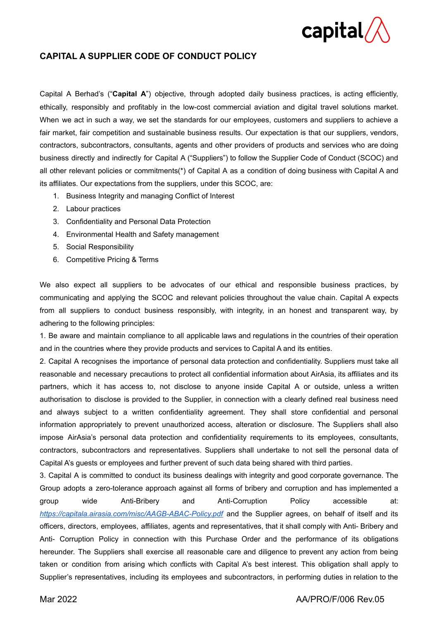

### **CAPITAL A SUPPLIER CODE OF CONDUCT POLICY**

Capital A Berhad's ("**Capital A**") objective, through adopted daily business practices, is acting efficiently, ethically, responsibly and profitably in the low-cost commercial aviation and digital travel solutions market. When we act in such a way, we set the standards for our employees, customers and suppliers to achieve a fair market, fair competition and sustainable business results. Our expectation is that our suppliers, vendors, contractors, subcontractors, consultants, agents and other providers of products and services who are doing business directly and indirectly for Capital A ("Suppliers") to follow the Supplier Code of Conduct (SCOC) and all other relevant policies or commitments(\*) of Capital A as a condition of doing business with Capital A and its affiliates. Our expectations from the suppliers, under this SCOC, are:

- 1. Business Integrity and managing Conflict of Interest
- 2. Labour practices
- 3. Confidentiality and Personal Data Protection
- 4. Environmental Health and Safety management
- 5. Social Responsibility
- 6. Competitive Pricing & Terms

We also expect all suppliers to be advocates of our ethical and responsible business practices, by communicating and applying the SCOC and relevant policies throughout the value chain. Capital A expects from all suppliers to conduct business responsibly, with integrity, in an honest and transparent way, by adhering to the following principles:

1. Be aware and maintain compliance to all applicable laws and regulations in the countries of their operation and in the countries where they provide products and services to Capital A and its entities.

2. Capital A recognises the importance of personal data protection and confidentiality. Suppliers must take all reasonable and necessary precautions to protect all confidential information about AirAsia, its affiliates and its partners, which it has access to, not disclose to anyone inside Capital A or outside, unless a written authorisation to disclose is provided to the Supplier, in connection with a clearly defined real business need and always subject to a written confidentiality agreement. They shall store confidential and personal information appropriately to prevent unauthorized access, alteration or disclosure. The Suppliers shall also impose AirAsia's personal data protection and confidentiality requirements to its employees, consultants, contractors, subcontractors and representatives. Suppliers shall undertake to not sell the personal data of Capital A's guests or employees and further prevent of such data being shared with third parties.

3. Capital A is committed to conduct its business dealings with integrity and good corporate governance. The Group adopts a zero-tolerance approach against all forms of bribery and corruption and has implemented a group wide Anti-Bribery and Anti-Corruption Policy accessible at: *<https://capitala.airasia.com/misc/AAGB-ABAC-Policy.pdf>* and the Supplier agrees, on behalf of itself and its officers, directors, employees, affiliates, agents and representatives, that it shall comply with Anti- Bribery and Anti- Corruption Policy in connection with this Purchase Order and the performance of its obligations hereunder. The Suppliers shall exercise all reasonable care and diligence to prevent any action from being taken or condition from arising which conflicts with Capital A's best interest. This obligation shall apply to Supplier's representatives, including its employees and subcontractors, in performing duties in relation to the

#### Mar 2022 AA/PRO/F/006 Rev.05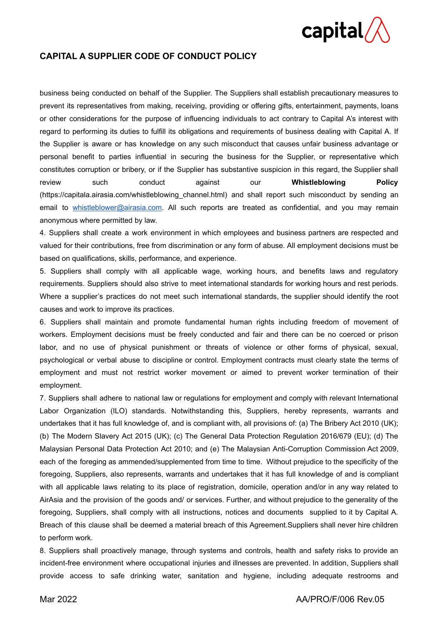

### **CAPITAL A SUPPLIER CODE OF CONDUCT POLICY**

business being conducted on behalf of the Supplier. The Suppliers shall establish precautionary measures to prevent its representatives from making, receiving, providing or offering gifts, entertainment, payments, loans or other considerations for the purpose of influencing individuals to act contrary to Capital A's interest with regard to performing its duties to fulfill its obligations and requirements of business dealing with Capital A. If the Supplier is aware or has knowledge on any such misconduct that causes unfair business advantage or personal benefit to parties influential in securing the business for the Supplier, or representative which constitutes corruption or bribery, or if the Supplier has substantive suspicion in this regard, the Supplier shall review such conduct against our **Whistleblowing Policy** (https://capitala.airasia.com/whistleblowing\_channel.html) and shall report such misconduct by sending an email to [whistleblower@airasia.com.](mailto:whistleblower@airasia.com) All such reports are treated as confidential, and you may remain anonymous where permitted by law.

4. Suppliers shall create a work environment in which employees and business partners are respected and valued for their contributions, free from discrimination or any form of abuse. All employment decisions must be based on qualifications, skills, performance, and experience.

5. Suppliers shall comply with all applicable wage, working hours, and benefits laws and regulatory requirements. Suppliers should also strive to meet international standards for working hours and rest periods. Where a supplier's practices do not meet such international standards, the supplier should identify the root causes and work to improve its practices.

6. Suppliers shall maintain and promote fundamental human rights including freedom of movement of workers. Employment decisions must be freely conducted and fair and there can be no coerced or prison labor, and no use of physical punishment or threats of violence or other forms of physical, sexual, psychological or verbal abuse to discipline or control. Employment contracts must clearly state the terms of employment and must not restrict worker movement or aimed to prevent worker termination of their employment.

7. Suppliers shall adhere to national law or regulations for employment and comply with relevant International Labor Organization (ILO) standards. Notwithstanding this, Suppliers, hereby represents, warrants and undertakes that it has full knowledge of, and is compliant with, all provisions of: (a) The Bribery Act 2010 (UK); (b) The Modern Slavery Act 2015 (UK); (c) The General Data Protection Regulation 2016/679 (EU); (d) The Malaysian Personal Data Protection Act 2010; and (e) The Malaysian Anti-Corruption Commission Act 2009, each of the foreging as ammended/supplemented from time to time. Without prejudice to the specificity of the foregoing, Suppliers, also represents, warrants and undertakes that it has full knowledge of and is compliant with all applicable laws relating to its place of registration, domicile, operation and/or in any way related to AirAsia and the provision of the goods and/ or services. Further, and without prejudice to the generality of the foregoing, Suppliers, shall comply with all instructions, notices and documents supplied to it by Capital A. Breach of this clause shall be deemed a material breach of this Agreement.Suppliers shall never hire children to perform work.

8. Suppliers shall proactively manage, through systems and controls, health and safety risks to provide an incident-free environment where occupational injuries and illnesses are prevented. In addition, Suppliers shall provide access to safe drinking water, sanitation and hygiene, including adequate restrooms and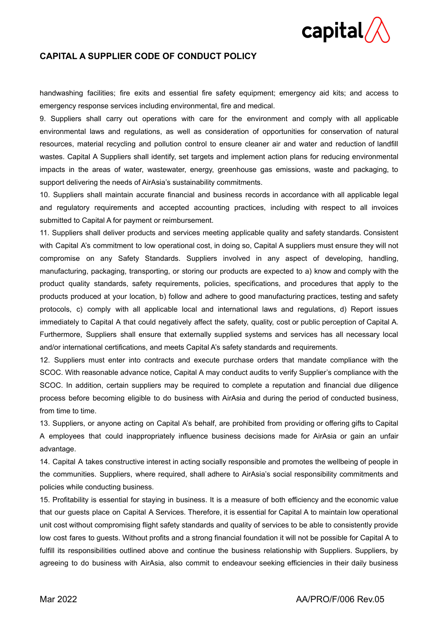# $\mathsf{capital}\mathsf{/}$

### **CAPITAL A SUPPLIER CODE OF CONDUCT POLICY**

handwashing facilities; fire exits and essential fire safety equipment; emergency aid kits; and access to emergency response services including environmental, fire and medical.

9. Suppliers shall carry out operations with care for the environment and comply with all applicable environmental laws and regulations, as well as consideration of opportunities for conservation of natural resources, material recycling and pollution control to ensure cleaner air and water and reduction of landfill wastes. Capital A Suppliers shall identify, set targets and implement action plans for reducing environmental impacts in the areas of water, wastewater, energy, greenhouse gas emissions, waste and packaging, to support delivering the needs of AirAsia's sustainability commitments.

10. Suppliers shall maintain accurate financial and business records in accordance with all applicable legal and regulatory requirements and accepted accounting practices, including with respect to all invoices submitted to Capital A for payment or reimbursement.

11. Suppliers shall deliver products and services meeting applicable quality and safety standards. Consistent with Capital A's commitment to low operational cost, in doing so, Capital A suppliers must ensure they will not compromise on any Safety Standards. Suppliers involved in any aspect of developing, handling, manufacturing, packaging, transporting, or storing our products are expected to a) know and comply with the product quality standards, safety requirements, policies, specifications, and procedures that apply to the products produced at your location, b) follow and adhere to good manufacturing practices, testing and safety protocols, c) comply with all applicable local and international laws and regulations, d) Report issues immediately to Capital A that could negatively affect the safety, quality, cost or public perception of Capital A. Furthermore, Suppliers shall ensure that externally supplied systems and services has all necessary local and/or international certifications, and meets Capital A's safety standards and requirements.

12. Suppliers must enter into contracts and execute purchase orders that mandate compliance with the SCOC. With reasonable advance notice, Capital A may conduct audits to verify Supplier's compliance with the SCOC. In addition, certain suppliers may be required to complete a reputation and financial due diligence process before becoming eligible to do business with AirAsia and during the period of conducted business, from time to time.

13. Suppliers, or anyone acting on Capital A's behalf, are prohibited from providing or offering gifts to Capital A employees that could inappropriately influence business decisions made for AirAsia or gain an unfair advantage.

14. Capital A takes constructive interest in acting socially responsible and promotes the wellbeing of people in the communities. Suppliers, where required, shall adhere to AirAsia's social responsibility commitments and policies while conducting business.

15. Profitability is essential for staying in business. It is a measure of both efficiency and the economic value that our guests place on Capital A Services. Therefore, it is essential for Capital A to maintain low operational unit cost without compromising flight safety standards and quality of services to be able to consistently provide low cost fares to guests. Without profits and a strong financial foundation it will not be possible for Capital A to fulfill its responsibilities outlined above and continue the business relationship with Suppliers. Suppliers, by agreeing to do business with AirAsia, also commit to endeavour seeking efficiencies in their daily business